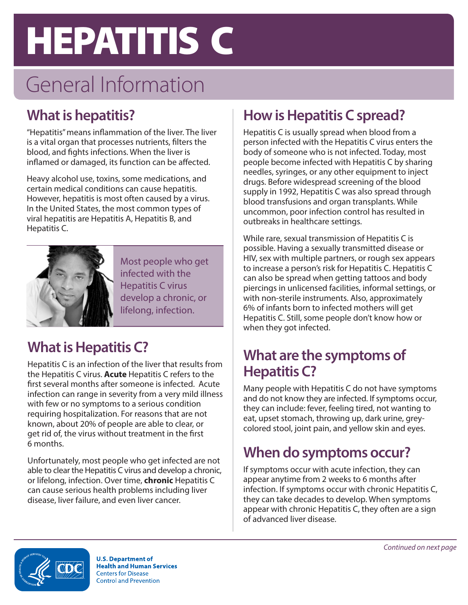# **HEPATITIS C**

# General Information

# **What is hepatitis?**

"Hepatitis" means inflammation of the liver. The liver is a vital organ that processes nutrients, filters the blood, and fights infections. When the liver is inflamed or damaged, its function can be affected.

Heavy alcohol use, toxins, some medications, and certain medical conditions can cause hepatitis. However, hepatitis is most often caused by a virus. In the United States, the most common types of viral hepatitis are Hepatitis A, Hepatitis B, and Hepatitis C.



Most people who get infected with the Hepatitis C virus develop a chronic, or lifelong, infection.

# **What is Hepatitis C?**

Hepatitis C is an infection of the liver that results from the Hepatitis C virus. **Acute** Hepatitis C refers to the first several months after someone is infected. Acute infection can range in severity from a very mild illness with few or no symptoms to a serious condition requiring hospitalization. For reasons that are not known, about 20% of people are able to clear, or get rid of, the virus without treatment in the first 6 months.

Unfortunately, most people who get infected are not able to clear the Hepatitis C virus and develop a chronic, or lifelong, infection. Over time, **chronic** Hepatitis C can cause serious health problems including liver disease, liver failure, and even liver cancer.

# **How is Hepatitis C spread?**

Hepatitis C is usually spread when blood from a person infected with the Hepatitis C virus enters the body of someone who is not infected. Today, most people become infected with Hepatitis C by sharing needles, syringes, or any other equipment to inject drugs. Before widespread screening of the blood supply in 1992, Hepatitis C was also spread through blood transfusions and organ transplants. While uncommon, poor infection control has resulted in outbreaks in healthcare settings.

While rare, sexual transmission of Hepatitis C is possible. Having a sexually transmitted disease or HIV, sex with multiple partners, or rough sex appears to increase a person's risk for Hepatitis C. Hepatitis C can also be spread when getting tattoos and body piercings in unlicensed facilities, informal settings, or with non-sterile instruments. Also, approximately 6% of infants born to infected mothers will get Hepatitis C. Still, some people don't know how or when they got infected.

### **What are the symptoms of Hepatitis C?**

Many people with Hepatitis C do not have symptoms and do not know they are infected. If symptoms occur, they can include: fever, feeling tired, not wanting to eat, upset stomach, throwing up, dark urine, greycolored stool, joint pain, and yellow skin and eyes.

# **When do symptoms occur?**

If symptoms occur with acute infection, they can appear anytime from 2 weeks to 6 months after infection. If symptoms occur with chronic Hepatitis C, they can take decades to develop. When symptoms appear with chronic Hepatitis C, they often are a sign of advanced liver disease.



**U.S. Department of Health and Human Services Centers for Disease Control and Prevention**